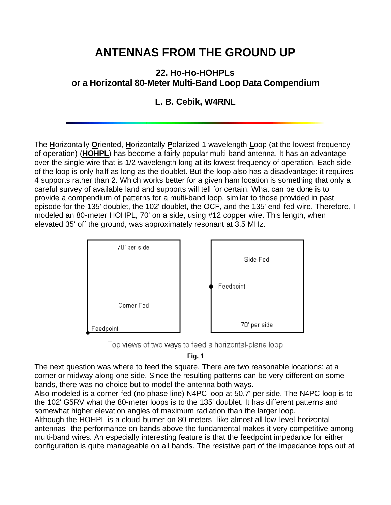## **ANTENNAS FROM THE GROUND UP**

## **22. Ho-Ho-HOHPLs or a Horizontal 80-Meter Multi-Band Loop Data Compendium**

## **L. B. Cebik, W4RNL**

The **H**orizontally **O**riented, **H**orizontally **P**olarized 1-wavelength **L**oop (at the lowest frequency of operation) (**HOHPL**) has become a fairly popular multi-band antenna. It has an advantage over the single wire that is 1/2 wavelength long at its lowest frequency of operation. Each side of the loop is only half as long as the doublet. But the loop also has a disadvantage: it requires 4 supports rather than 2. Which works better for a given ham location is something that only a careful survey of available land and supports will tell for certain. What can be done is to provide a compendium of patterns for a multi-band loop, similar to those provided in past episode for the 135' doublet, the 102' doublet, the OCF, and the 135' end-fed wire. Therefore, I modeled an 80-meter HOHPL, 70' on a side, using #12 copper wire. This length, when elevated 35' off the ground, was approximately resonant at 3.5 MHz.



Top views of two ways to feed a horizontal-plane loop

Fig. 1

The next question was where to feed the square. There are two reasonable locations: at a corner or midway along one side. Since the resulting patterns can be very different on some bands, there was no choice but to model the antenna both ways.

Also modeled is a corner-fed (no phase line) N4PC loop at 50.7' per side. The N4PC loop is to the 102' G5RV what the 80-meter loops is to the 135' doublet. It has different patterns and somewhat higher elevation angles of maximum radiation than the larger loop.

Although the HOHPL is a cloud-burner on 80 meters--like almost all low-level horizontal antennas--the performance on bands above the fundamental makes it very competitive among multi-band wires. An especially interesting feature is that the feedpoint impedance for either configuration is quite manageable on all bands. The resistive part of the impedance tops out at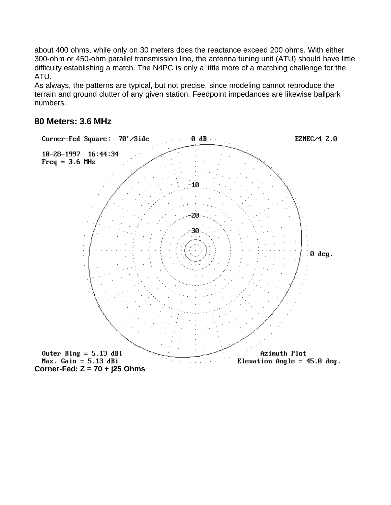about 400 ohms, while only on 30 meters does the reactance exceed 200 ohms. With either 300-ohm or 450-ohm parallel transmission line, the antenna tuning unit (ATU) should have little difficulty establishing a match. The N4PC is only a little more of a matching challenge for the ATU.

As always, the patterns are typical, but not precise, since modeling cannot reproduce the terrain and ground clutter of any given station. Feedpoint impedances are likewise ballpark numbers.



## **80 Meters: 3.6 MHz**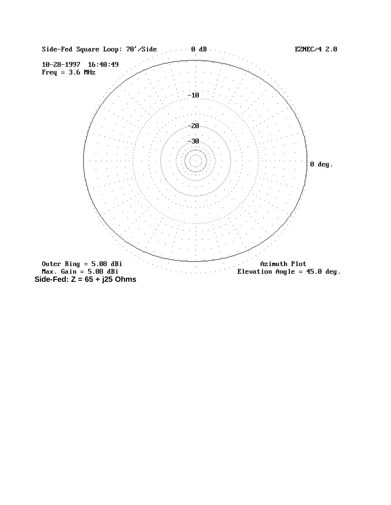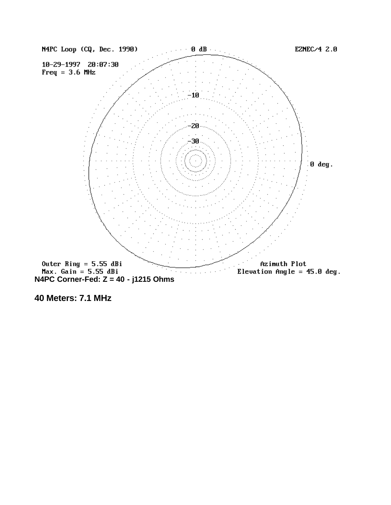

**40 Meters: 7.1 MHz**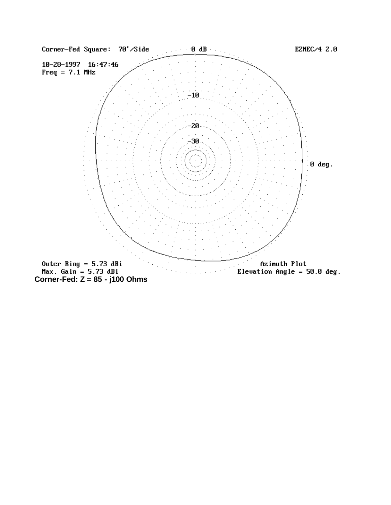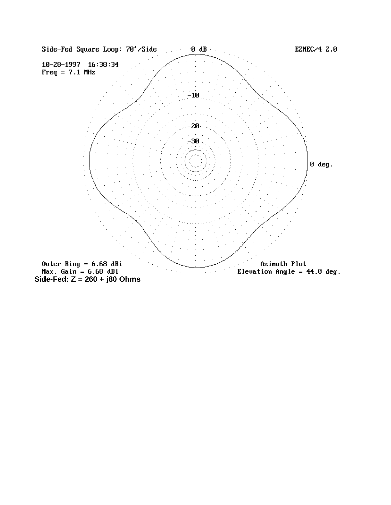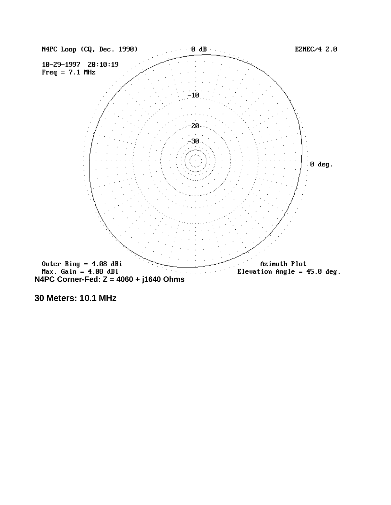

**30 Meters: 10.1 MHz**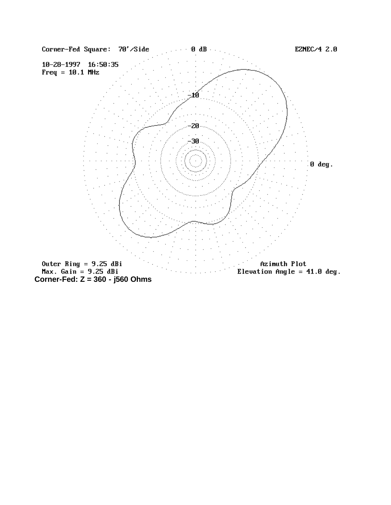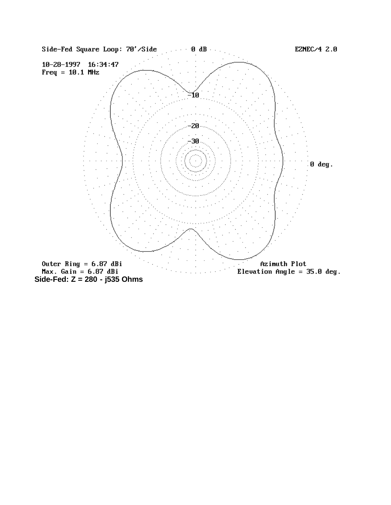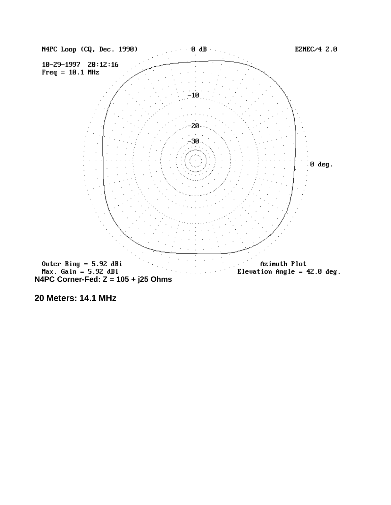

**20 Meters: 14.1 MHz**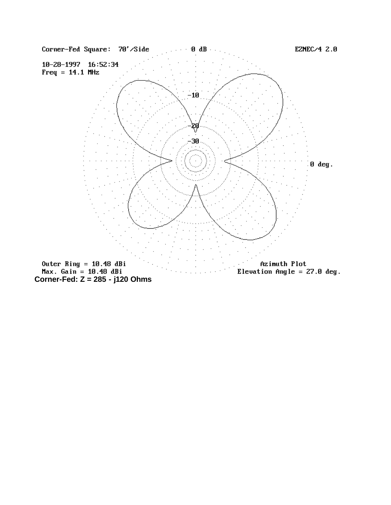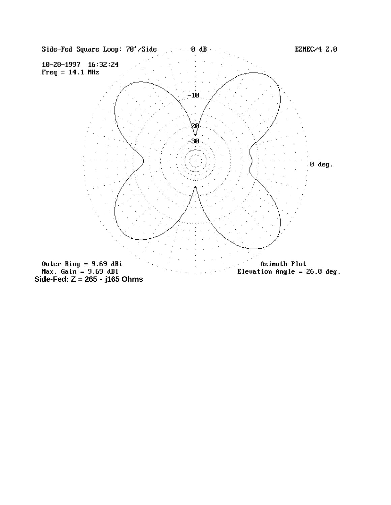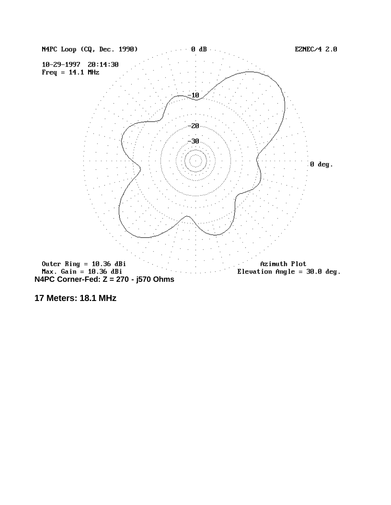

**17 Meters: 18.1 MHz**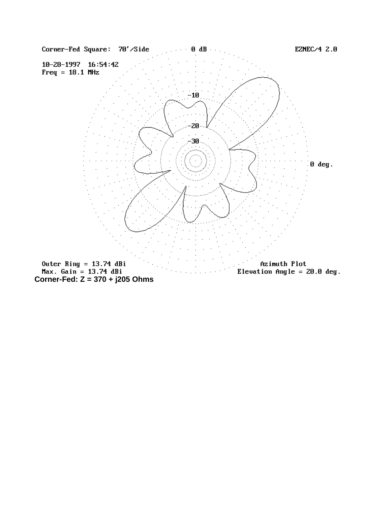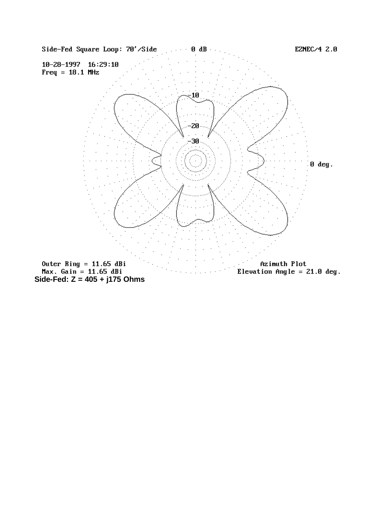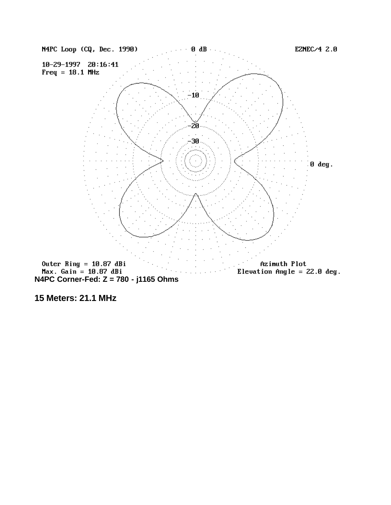

**15 Meters: 21.1 MHz**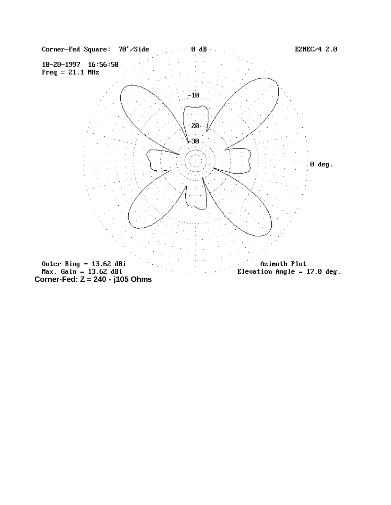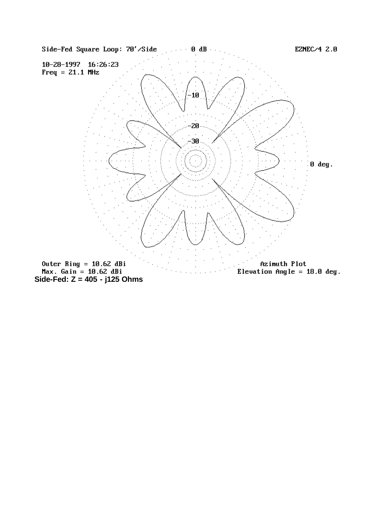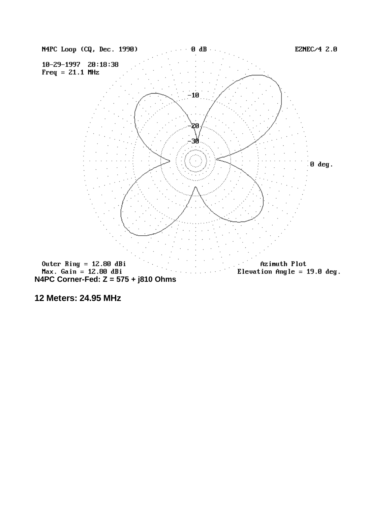

**12 Meters: 24.95 MHz**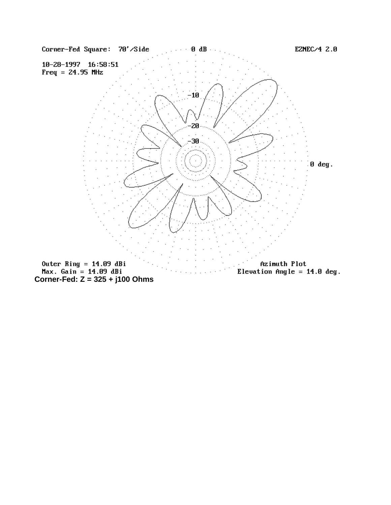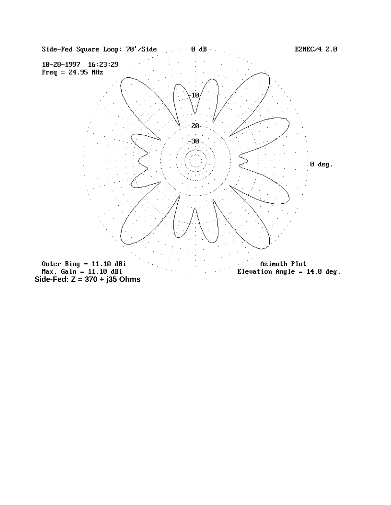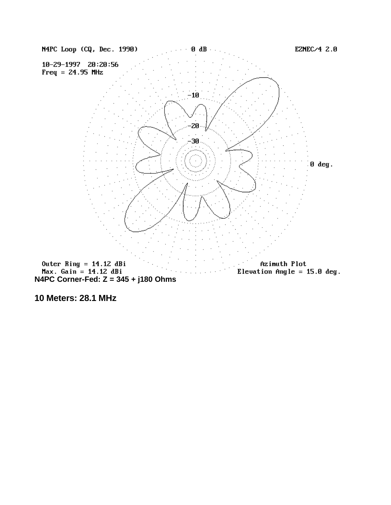

**10 Meters: 28.1 MHz**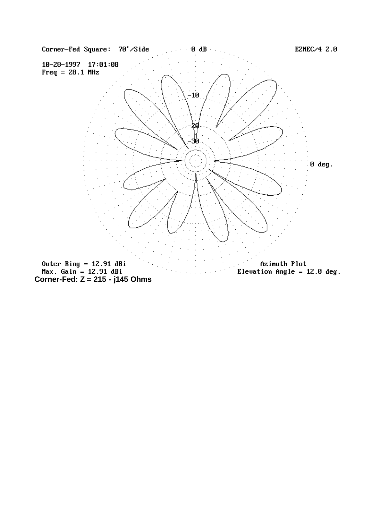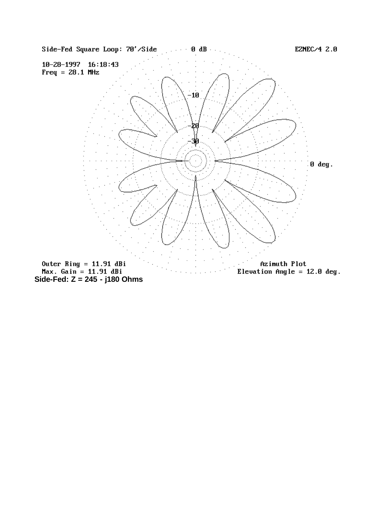